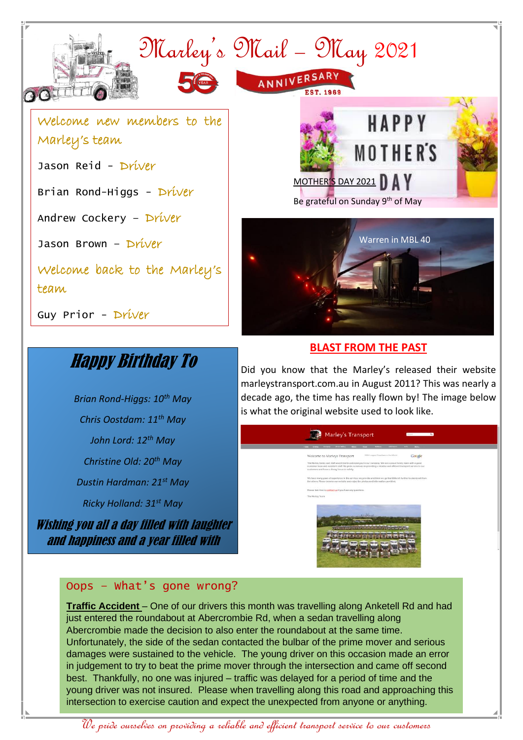

# Happy Birthday To

*Brian Rond-Higgs: 10th May Chris Oostdam: 11th May John Lord: 12th May Christine Old: 20th May Dustin Hardman: 21st May Ricky Holland: 31st May*

Wishing you all a day filled with laughter and happiness and a year filled with

success.

#### **BLAST FROM THE PAST**

Did you know that the Marley's released their website marleystransport.com.au in August 2011? This was nearly a decade ago, the time has really flown by! The image below is what the original website used to look like.

# Marley's Transport

![](_page_0_Picture_9.jpeg)

#### Oops – What's gone wrong?

**Traffic Accident** – One of our drivers this month was travelling along Anketell Rd and had just entered the roundabout at Abercrombie Rd, when a sedan travelling along Abercrombie made the decision to also enter the roundabout at the same time. Unfortunately, the side of the sedan contacted the bulbar of the prime mover and serious damages were sustained to the vehicle. The young driver on this occasion made an error in judgement to try to beat the prime mover through the intersection and came off second best. Thankfully, no one was injured – traffic was delayed for a period of time and the young driver was not insured. Please when travelling along this road and approaching this intersection to exercise caution and expect the unexpected from anyone or anything.

We pride ourselves on providing a reliable and efficient transport service to our customers